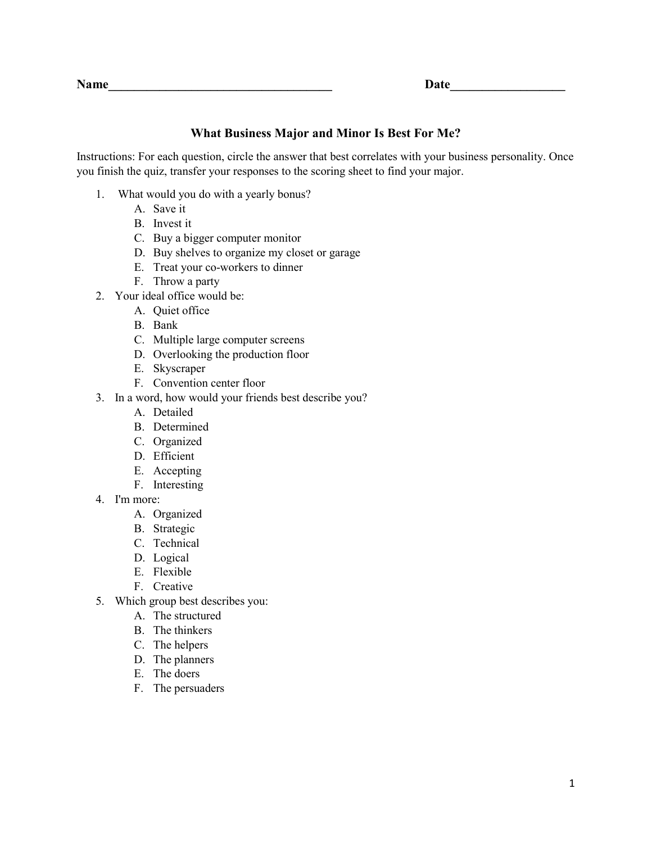# **What Business Major and Minor Is Best For Me?**

Instructions: For each question, circle the answer that best correlates with your business personality. Once you finish the quiz, transfer your responses to the scoring sheet to find your major.

- 1. What would you do with a yearly bonus?
	- A. Save it
	- B. Invest it
	- C. Buy a bigger computer monitor
	- D. Buy shelves to organize my closet or garage
	- E. Treat your co-workers to dinner
	- F. Throw a party
- 2. Your ideal office would be:
	- A. Quiet office
	- B. Bank
	- C. Multiple large computer screens
	- D. Overlooking the production floor
	- E. Skyscraper
	- F. Convention center floor
- 3. In a word, how would your friends best describe you?
	- A. Detailed
	- B. Determined
	- C. Organized
	- D. Efficient
	- E. Accepting
	- F. Interesting
- 4. I'm more:
	- A. Organized
	- B. Strategic
	- C. Technical
	- D. Logical
	- E. Flexible
	- F. Creative
- 5. Which group best describes you:
	- A. The structured
	- B. The thinkers
	- C. The helpers
	- D. The planners
	- E. The doers
	- F. The persuaders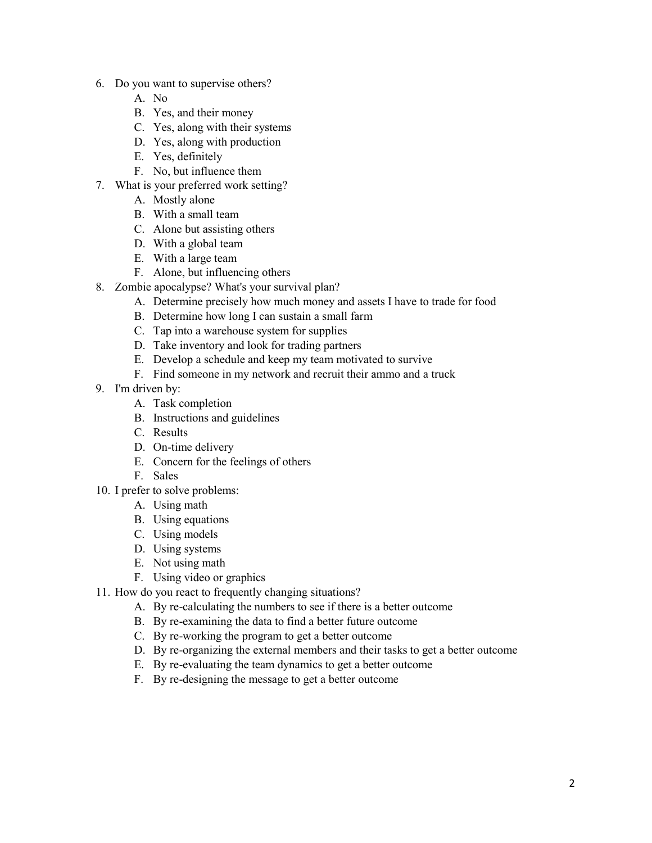- 6. Do you want to supervise others?
	- A. No
	- B. Yes, and their money
	- C. Yes, along with their systems
	- D. Yes, along with production
	- E. Yes, definitely
	- F. No, but influence them
- 7. What is your preferred work setting?
	- A. Mostly alone
	- B. With a small team
	- C. Alone but assisting others
	- D. With a global team
	- E. With a large team
	- F. Alone, but influencing others
- 8. Zombie apocalypse? What's your survival plan?
	- A. Determine precisely how much money and assets I have to trade for food
	- B. Determine how long I can sustain a small farm
	- C. Tap into a warehouse system for supplies
	- D. Take inventory and look for trading partners
	- E. Develop a schedule and keep my team motivated to survive
	- F. Find someone in my network and recruit their ammo and a truck
- 9. I'm driven by:
	- A. Task completion
	- B. Instructions and guidelines
	- C. Results
	- D. On-time delivery
	- E. Concern for the feelings of others
	- F. Sales
- 10. I prefer to solve problems:
	- A. Using math
	- B. Using equations
	- C. Using models
	- D. Using systems
	- E. Not using math
	- F. Using video or graphics
- 11. How do you react to frequently changing situations?
	- A. By re-calculating the numbers to see if there is a better outcome
	- B. By re-examining the data to find a better future outcome
	- C. By re-working the program to get a better outcome
	- D. By re-organizing the external members and their tasks to get a better outcome
	- E. By re-evaluating the team dynamics to get a better outcome
	- F. By re-designing the message to get a better outcome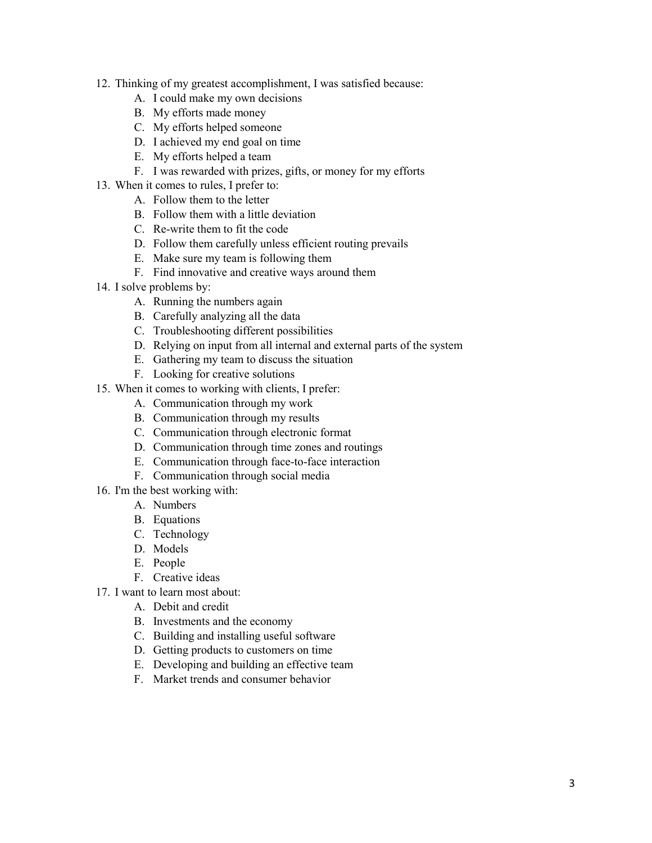- 12. Thinking of my greatest accomplishment, I was satisfied because:
	- A. I could make my own decisions
	- B. My efforts made money
	- C. My efforts helped someone
	- D. I achieved my end goal on time
	- E. My efforts helped a team
	- F. I was rewarded with prizes, gifts, or money for my efforts
- 13. When it comes to rules, I prefer to:
	- A. Follow them to the letter
	- B. Follow them with a little deviation
	- C. Re-write them to fit the code
	- D. Follow them carefully unless efficient routing prevails
	- E. Make sure my team is following them
	- F. Find innovative and creative ways around them
- 14. I solve problems by:
	- A. Running the numbers again
	- B. Carefully analyzing all the data
	- C. Troubleshooting different possibilities
	- D. Relying on input from all internal and external parts of the system
	- E. Gathering my team to discuss the situation
	- F. Looking for creative solutions
- 15. When it comes to working with clients, I prefer:
	- A. Communication through my work
	- B. Communication through my results
	- C. Communication through electronic format
	- D. Communication through time zones and routings
	- E. Communication through face-to-face interaction
	- F. Communication through social media
- 16. I'm the best working with:
	- A. Numbers
	- B. Equations
	- C. Technology
	- D. Models
	- E. People
	- F. Creative ideas
- 17. I want to learn most about:
	- A. Debit and credit
	- B. Investments and the economy
	- C. Building and installing useful software
	- D. Getting products to customers on time
	- E. Developing and building an effective team
	- F. Market trends and consumer behavior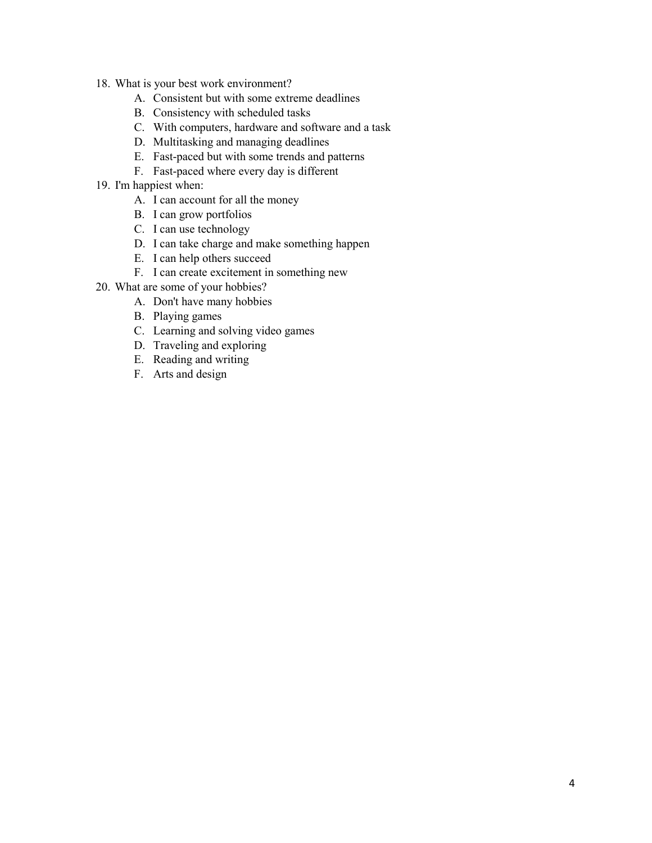- 18. What is your best work environment?
	- A. Consistent but with some extreme deadlines
	- B. Consistency with scheduled tasks
	- C. With computers, hardware and software and a task
	- D. Multitasking and managing deadlines
	- E. Fast-paced but with some trends and patterns
	- F. Fast-paced where every day is different
- 19. I'm happiest when:
	- A. I can account for all the money
	- B. I can grow portfolios
	- C. I can use technology
	- D. I can take charge and make something happen
	- E. I can help others succeed
	- F. I can create excitement in something new
- 20. What are some of your hobbies?
	- A. Don't have many hobbies
	- B. Playing games
	- C. Learning and solving video games
	- D. Traveling and exploring
	- E. Reading and writing
	- F. Arts and design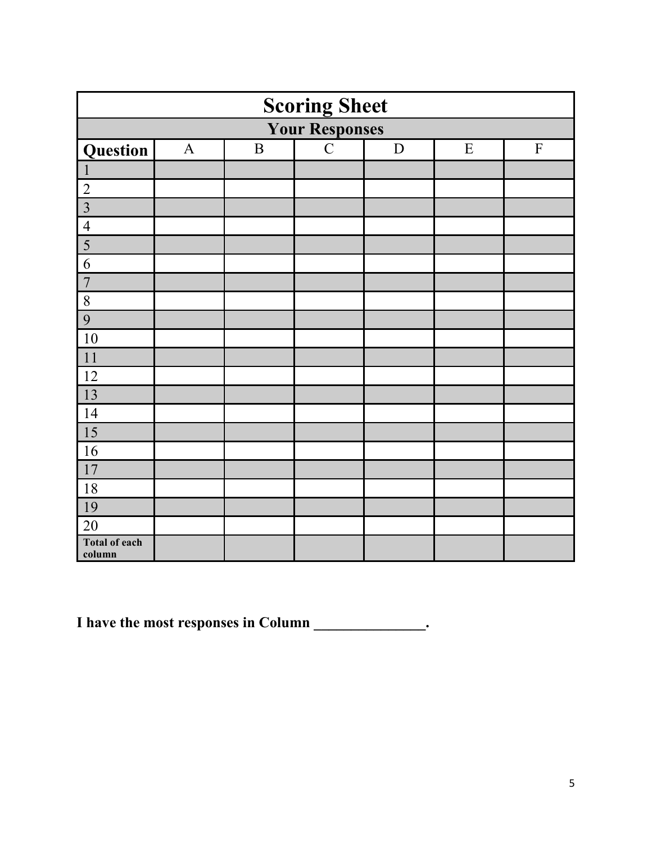| <b>Scoring Sheet</b>           |              |              |             |             |           |           |
|--------------------------------|--------------|--------------|-------------|-------------|-----------|-----------|
| <b>Your Responses</b>          |              |              |             |             |           |           |
| Question                       | $\mathbf{A}$ | $\, {\bf B}$ | $\mathbf C$ | $\mathbf D$ | ${\bf E}$ | ${\bf F}$ |
|                                |              |              |             |             |           |           |
| $\overline{2}$                 |              |              |             |             |           |           |
| $\overline{3}$                 |              |              |             |             |           |           |
| $\overline{4}$                 |              |              |             |             |           |           |
| 5                              |              |              |             |             |           |           |
| 6                              |              |              |             |             |           |           |
| $\overline{7}$                 |              |              |             |             |           |           |
| 8                              |              |              |             |             |           |           |
| 9                              |              |              |             |             |           |           |
| 10                             |              |              |             |             |           |           |
| 11                             |              |              |             |             |           |           |
| 12                             |              |              |             |             |           |           |
| 13                             |              |              |             |             |           |           |
| 14                             |              |              |             |             |           |           |
| 15                             |              |              |             |             |           |           |
| 16                             |              |              |             |             |           |           |
| 17                             |              |              |             |             |           |           |
| 18                             |              |              |             |             |           |           |
| 19                             |              |              |             |             |           |           |
| 20                             |              |              |             |             |           |           |
| <b>Total of each</b><br>column |              |              |             |             |           |           |

**I** have the most responses in Column \_\_\_\_\_\_\_\_\_\_\_\_\_\_\_.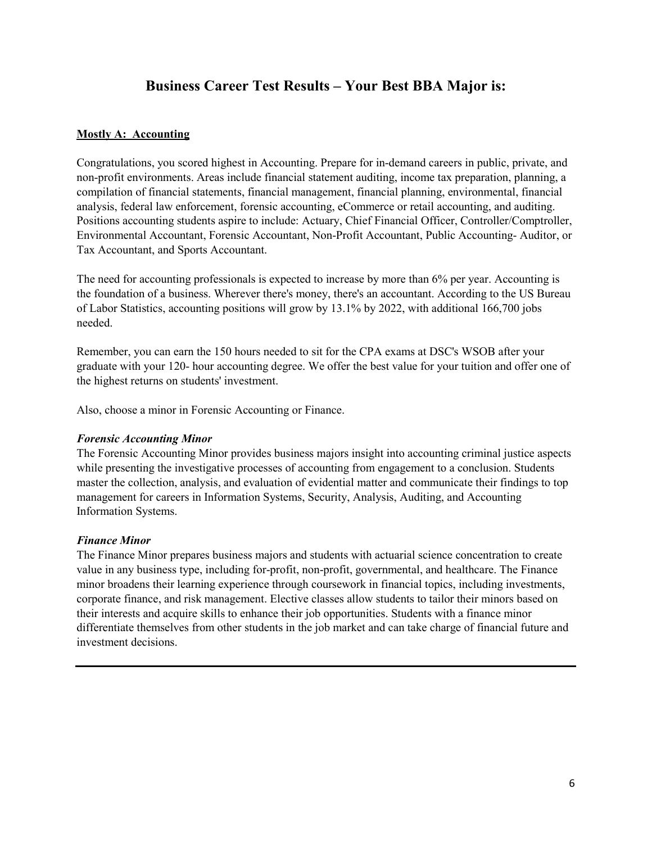# **Business Career Test Results – Your Best BBA Major is:**

### **Mostly A: Accounting**

Congratulations, you scored highest in Accounting. Prepare for in-demand careers in public, private, and non-profit environments. Areas include financial statement auditing, income tax preparation, planning, a compilation of financial statements, financial management, financial planning, environmental, financial analysis, federal law enforcement, forensic accounting, eCommerce or retail accounting, and auditing. Positions accounting students aspire to include: Actuary, Chief Financial Officer, Controller/Comptroller, Environmental Accountant, Forensic Accountant, Non-Profit Accountant, Public Accounting- Auditor, or Tax Accountant, and Sports Accountant.

The need for accounting professionals is expected to increase by more than 6% per year. Accounting is the foundation of a business. Wherever there's money, there's an accountant. According to the US Bureau of Labor Statistics, accounting positions will grow by 13.1% by 2022, with additional 166,700 jobs needed.

Remember, you can earn the 150 hours needed to sit for the CPA exams at DSC's WSOB after your graduate with your 120- hour accounting degree. We offer the best value for your tuition and offer one of the highest returns on students' investment.

Also, choose a minor in Forensic Accounting or Finance.

### *Forensic Accounting Minor*

The Forensic Accounting Minor provides business majors insight into accounting criminal justice aspects while presenting the investigative processes of accounting from engagement to a conclusion. Students master the collection, analysis, and evaluation of evidential matter and communicate their findings to top management for careers in Information Systems, Security, Analysis, Auditing, and Accounting Information Systems.

### *Finance Minor*

The Finance Minor prepares business majors and students with actuarial science concentration to create value in any business type, including for-profit, non-profit, governmental, and healthcare. The Finance minor broadens their learning experience through coursework in financial topics, including investments, corporate finance, and risk management. Elective classes allow students to tailor their minors based on their interests and acquire skills to enhance their job opportunities. Students with a finance minor differentiate themselves from other students in the job market and can take charge of financial future and investment decisions.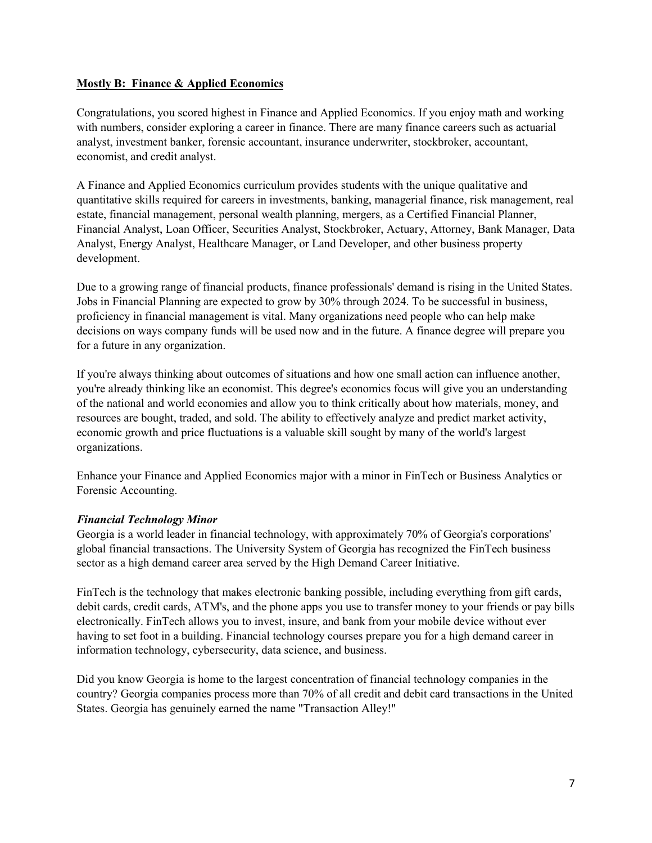### **Mostly B: Finance & Applied Economics**

Congratulations, you scored highest in Finance and Applied Economics. If you enjoy math and working with numbers, consider exploring a career in finance. There are many finance careers such as actuarial analyst, investment banker, forensic accountant, insurance underwriter, stockbroker, accountant, economist, and credit analyst.

A Finance and Applied Economics curriculum provides students with the unique qualitative and quantitative skills required for careers in investments, banking, managerial finance, risk management, real estate, financial management, personal wealth planning, mergers, as a Certified Financial Planner, Financial Analyst, Loan Officer, Securities Analyst, Stockbroker, Actuary, Attorney, Bank Manager, Data Analyst, Energy Analyst, Healthcare Manager, or Land Developer, and other business property development.

Due to a growing range of financial products, finance professionals' demand is rising in the United States. Jobs in Financial Planning are expected to grow by 30% through 2024. To be successful in business, proficiency in financial management is vital. Many organizations need people who can help make decisions on ways company funds will be used now and in the future. A finance degree will prepare you for a future in any organization.

If you're always thinking about outcomes of situations and how one small action can influence another, you're already thinking like an economist. This degree's economics focus will give you an understanding of the national and world economies and allow you to think critically about how materials, money, and resources are bought, traded, and sold. The ability to effectively analyze and predict market activity, economic growth and price fluctuations is a valuable skill sought by many of the world's largest organizations.

Enhance your Finance and Applied Economics major with a minor in FinTech or Business Analytics or Forensic Accounting.

### *Financial Technology Minor*

Georgia is a world leader in financial technology, with approximately 70% of Georgia's corporations' global financial transactions. The University System of Georgia has recognized the FinTech business sector as a high demand career area served by the High Demand Career Initiative.

FinTech is the technology that makes electronic banking possible, including everything from gift cards, debit cards, credit cards, ATM's, and the phone apps you use to transfer money to your friends or pay bills electronically. FinTech allows you to invest, insure, and bank from your mobile device without ever having to set foot in a building. Financial technology courses prepare you for a high demand career in information technology, cybersecurity, data science, and business.

Did you know Georgia is home to the largest concentration of financial technology companies in the country? Georgia companies process more than 70% of all credit and debit card transactions in the United States. Georgia has genuinely earned the name "Transaction Alley!"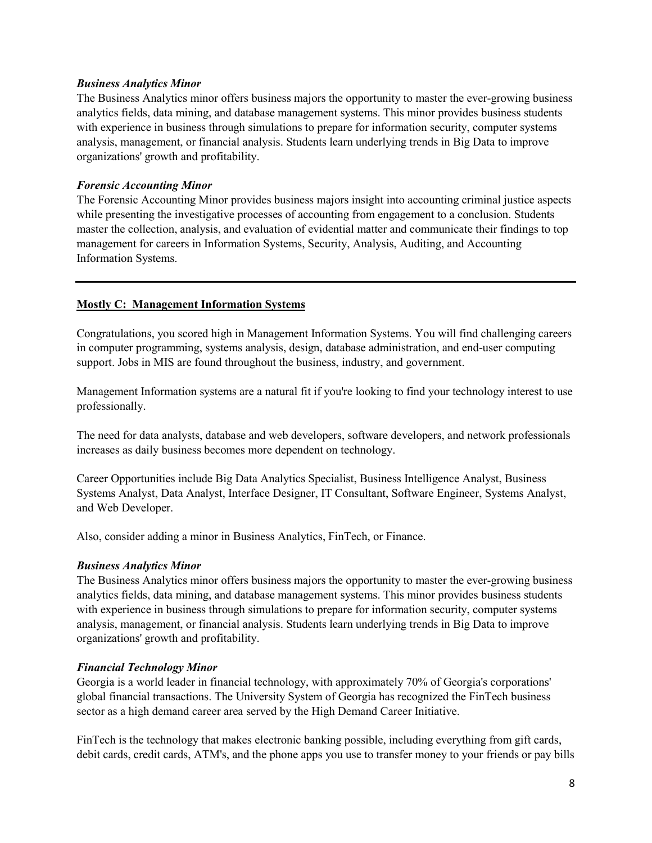#### *Business Analytics Minor*

The Business Analytics minor offers business majors the opportunity to master the ever-growing business analytics fields, data mining, and database management systems. This minor provides business students with experience in business through simulations to prepare for information security, computer systems analysis, management, or financial analysis. Students learn underlying trends in Big Data to improve organizations' growth and profitability.

### *Forensic Accounting Minor*

The Forensic Accounting Minor provides business majors insight into accounting criminal justice aspects while presenting the investigative processes of accounting from engagement to a conclusion. Students master the collection, analysis, and evaluation of evidential matter and communicate their findings to top management for careers in Information Systems, Security, Analysis, Auditing, and Accounting Information Systems.

### **Mostly C: Management Information Systems**

Congratulations, you scored high in Management Information Systems. You will find challenging careers in computer programming, systems analysis, design, database administration, and end-user computing support. Jobs in MIS are found throughout the business, industry, and government.

Management Information systems are a natural fit if you're looking to find your technology interest to use professionally.

The need for data analysts, database and web developers, software developers, and network professionals increases as daily business becomes more dependent on technology.

Career Opportunities include Big Data Analytics Specialist, Business Intelligence Analyst, Business Systems Analyst, Data Analyst, Interface Designer, IT Consultant, Software Engineer, Systems Analyst, and Web Developer.

Also, consider adding a minor in Business Analytics, FinTech, or Finance.

### *Business Analytics Minor*

The Business Analytics minor offers business majors the opportunity to master the ever-growing business analytics fields, data mining, and database management systems. This minor provides business students with experience in business through simulations to prepare for information security, computer systems analysis, management, or financial analysis. Students learn underlying trends in Big Data to improve organizations' growth and profitability.

### *Financial Technology Minor*

Georgia is a world leader in financial technology, with approximately 70% of Georgia's corporations' global financial transactions. The University System of Georgia has recognized the FinTech business sector as a high demand career area served by the High Demand Career Initiative.

FinTech is the technology that makes electronic banking possible, including everything from gift cards, debit cards, credit cards, ATM's, and the phone apps you use to transfer money to your friends or pay bills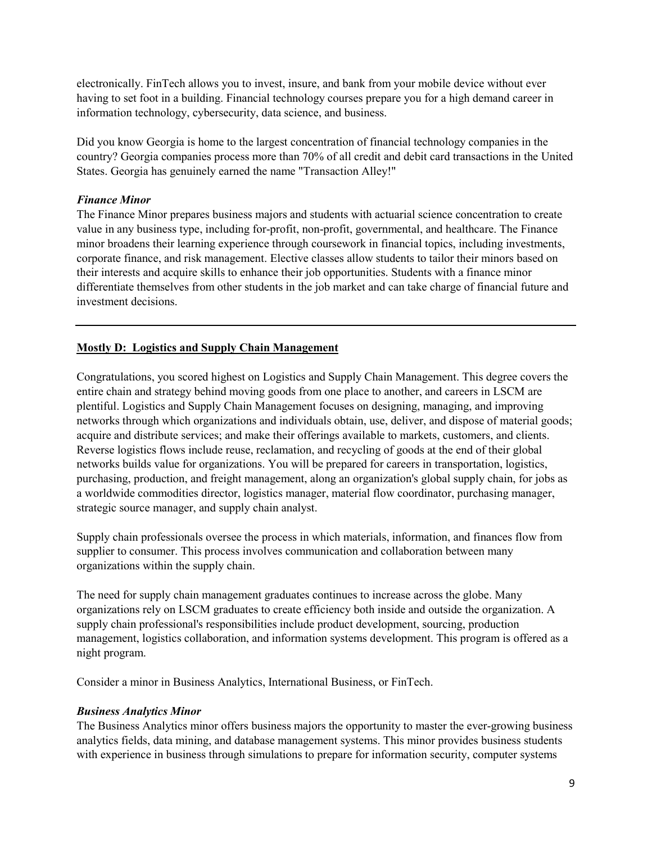electronically. FinTech allows you to invest, insure, and bank from your mobile device without ever having to set foot in a building. Financial technology courses prepare you for a high demand career in information technology, cybersecurity, data science, and business.

Did you know Georgia is home to the largest concentration of financial technology companies in the country? Georgia companies process more than 70% of all credit and debit card transactions in the United States. Georgia has genuinely earned the name "Transaction Alley!"

### *Finance Minor*

The Finance Minor prepares business majors and students with actuarial science concentration to create value in any business type, including for-profit, non-profit, governmental, and healthcare. The Finance minor broadens their learning experience through coursework in financial topics, including investments, corporate finance, and risk management. Elective classes allow students to tailor their minors based on their interests and acquire skills to enhance their job opportunities. Students with a finance minor differentiate themselves from other students in the job market and can take charge of financial future and investment decisions.

### **Mostly D: Logistics and Supply Chain Management**

Congratulations, you scored highest on Logistics and Supply Chain Management. This degree covers the entire chain and strategy behind moving goods from one place to another, and careers in LSCM are plentiful. Logistics and Supply Chain Management focuses on designing, managing, and improving networks through which organizations and individuals obtain, use, deliver, and dispose of material goods; acquire and distribute services; and make their offerings available to markets, customers, and clients. Reverse logistics flows include reuse, reclamation, and recycling of goods at the end of their global networks builds value for organizations. You will be prepared for careers in transportation, logistics, purchasing, production, and freight management, along an organization's global supply chain, for jobs as a worldwide commodities director, logistics manager, material flow coordinator, purchasing manager, strategic source manager, and supply chain analyst.

Supply chain professionals oversee the process in which materials, information, and finances flow from supplier to consumer. This process involves communication and collaboration between many organizations within the supply chain.

The need for supply chain management graduates continues to increase across the globe. Many organizations rely on LSCM graduates to create efficiency both inside and outside the organization. A supply chain professional's responsibilities include product development, sourcing, production management, logistics collaboration, and information systems development. This program is offered as a night program.

Consider a minor in Business Analytics, International Business, or FinTech.

### *Business Analytics Minor*

The Business Analytics minor offers business majors the opportunity to master the ever-growing business analytics fields, data mining, and database management systems. This minor provides business students with experience in business through simulations to prepare for information security, computer systems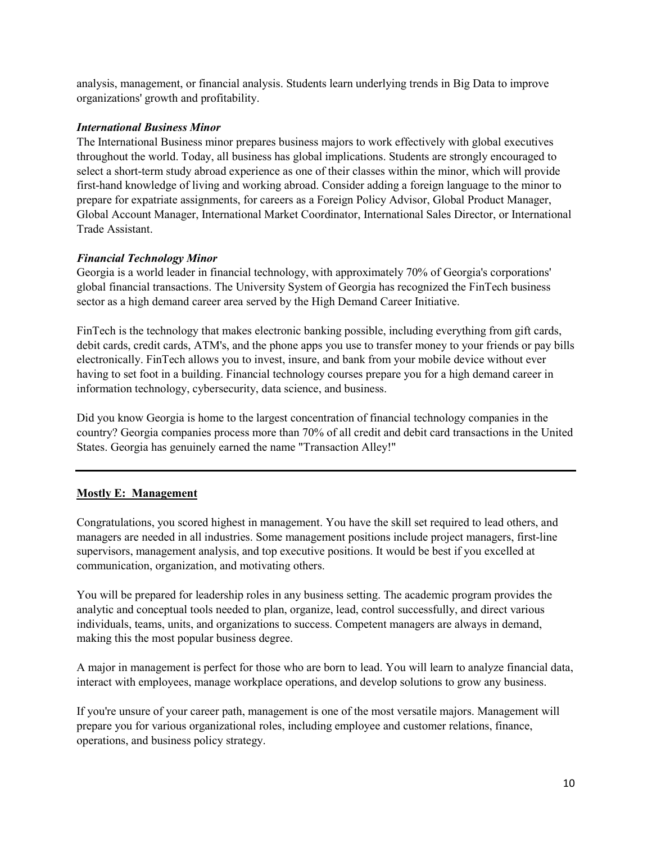analysis, management, or financial analysis. Students learn underlying trends in Big Data to improve organizations' growth and profitability.

### *International Business Minor*

The International Business minor prepares business majors to work effectively with global executives throughout the world. Today, all business has global implications. Students are strongly encouraged to select a short-term study abroad experience as one of their classes within the minor, which will provide first-hand knowledge of living and working abroad. Consider adding a foreign language to the minor to prepare for expatriate assignments, for careers as a Foreign Policy Advisor, Global Product Manager, Global Account Manager, International Market Coordinator, International Sales Director, or International Trade Assistant.

### *Financial Technology Minor*

Georgia is a world leader in financial technology, with approximately 70% of Georgia's corporations' global financial transactions. The University System of Georgia has recognized the FinTech business sector as a high demand career area served by the High Demand Career Initiative.

FinTech is the technology that makes electronic banking possible, including everything from gift cards, debit cards, credit cards, ATM's, and the phone apps you use to transfer money to your friends or pay bills electronically. FinTech allows you to invest, insure, and bank from your mobile device without ever having to set foot in a building. Financial technology courses prepare you for a high demand career in information technology, cybersecurity, data science, and business.

Did you know Georgia is home to the largest concentration of financial technology companies in the country? Georgia companies process more than 70% of all credit and debit card transactions in the United States. Georgia has genuinely earned the name "Transaction Alley!"

### **Mostly E: Management**

Congratulations, you scored highest in management. You have the skill set required to lead others, and managers are needed in all industries. Some management positions include project managers, first-line supervisors, management analysis, and top executive positions. It would be best if you excelled at communication, organization, and motivating others.

You will be prepared for leadership roles in any business setting. The academic program provides the analytic and conceptual tools needed to plan, organize, lead, control successfully, and direct various individuals, teams, units, and organizations to success. Competent managers are always in demand, making this the most popular business degree.

A major in management is perfect for those who are born to lead. You will learn to analyze financial data, interact with employees, manage workplace operations, and develop solutions to grow any business.

If you're unsure of your career path, management is one of the most versatile majors. Management will prepare you for various organizational roles, including employee and customer relations, finance, operations, and business policy strategy.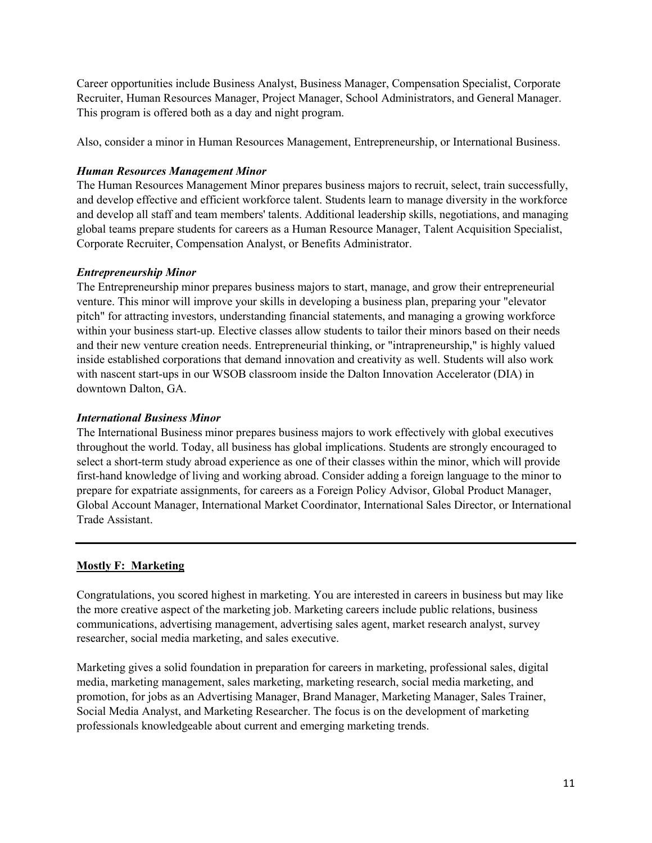Career opportunities include Business Analyst, Business Manager, Compensation Specialist, Corporate Recruiter, Human Resources Manager, Project Manager, School Administrators, and General Manager. This program is offered both as a day and night program.

Also, consider a minor in Human Resources Management, Entrepreneurship, or International Business.

### *Human Resources Management Minor*

The Human Resources Management Minor prepares business majors to recruit, select, train successfully, and develop effective and efficient workforce talent. Students learn to manage diversity in the workforce and develop all staff and team members' talents. Additional leadership skills, negotiations, and managing global teams prepare students for careers as a Human Resource Manager, Talent Acquisition Specialist, Corporate Recruiter, Compensation Analyst, or Benefits Administrator.

# *Entrepreneurship Minor*

The Entrepreneurship minor prepares business majors to start, manage, and grow their entrepreneurial venture. This minor will improve your skills in developing a business plan, preparing your "elevator pitch" for attracting investors, understanding financial statements, and managing a growing workforce within your business start-up. Elective classes allow students to tailor their minors based on their needs and their new venture creation needs. Entrepreneurial thinking, or "intrapreneurship," is highly valued inside established corporations that demand innovation and creativity as well. Students will also work with nascent start-ups in our WSOB classroom inside the Dalton Innovation Accelerator (DIA) in downtown Dalton, GA.

### *International Business Minor*

The International Business minor prepares business majors to work effectively with global executives throughout the world. Today, all business has global implications. Students are strongly encouraged to select a short-term study abroad experience as one of their classes within the minor, which will provide first-hand knowledge of living and working abroad. Consider adding a foreign language to the minor to prepare for expatriate assignments, for careers as a Foreign Policy Advisor, Global Product Manager, Global Account Manager, International Market Coordinator, International Sales Director, or International Trade Assistant.

# **Mostly F: Marketing**

Congratulations, you scored highest in marketing. You are interested in careers in business but may like the more creative aspect of the marketing job. Marketing careers include public relations, business communications, advertising management, advertising sales agent, market research analyst, survey researcher, social media marketing, and sales executive.

Marketing gives a solid foundation in preparation for careers in marketing, professional sales, digital media, marketing management, sales marketing, marketing research, social media marketing, and promotion, for jobs as an Advertising Manager, Brand Manager, Marketing Manager, Sales Trainer, Social Media Analyst, and Marketing Researcher. The focus is on the development of marketing professionals knowledgeable about current and emerging marketing trends.